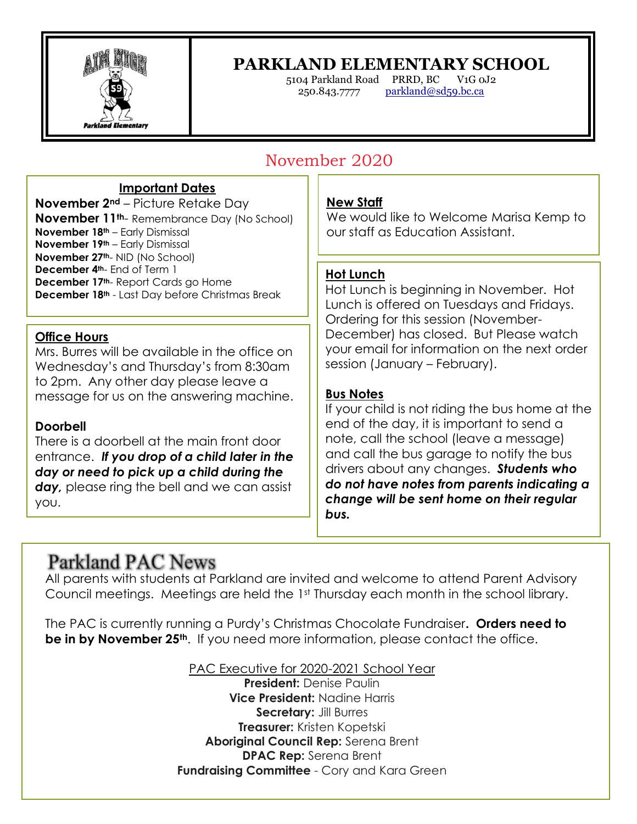

i

## **PARKLAND ELEMENTARY SCHOOL**

5104 Parkland Road PRRD, BC V1G 0J2 250.843.7777 [parkland@sd59.bc.ca](mailto:parkland@sd59.bc.ca)

# November 2020

### **Important Dates**

**November 2nd** – Picture Retake Day **November 11th**- Remembrance Day (No School) **November 18th** – Early Dismissal **November 19th** – Early Dismissal **November 27th**- NID (No School) **December 4th**- End of Term 1 **December 17th**- Report Cards go Home **December 18th** - Last Day before Christmas Break

### **Office Hours**

Mrs. Burres will be available in the office on Wednesday's and Thursday's from 8:30am to 2pm. Any other day please leave a message for us on the answering machine.

### **Doorbell**

There is a doorbell at the main front door entrance. *If you drop of a child later in the day or need to pick up a child during the day,* please ring the bell and we can assist you.

### **New Staff**

We would like to Welcome Marisa Kemp to our staff as Education Assistant.

### **Hot Lunch**

Hot Lunch is beginning in November. Hot Lunch is offered on Tuesdays and Fridays. Ordering for this session (November-December) has closed. But Please watch your email for information on the next order session (January – February).

### **Bus Notes**

If your child is not riding the bus home at the end of the day, it is important to send a note, call the school (leave a message) and call the bus garage to notify the bus drivers about any changes. *Students who do not have notes from parents indicating a change will be sent home on their regular bus.*

# Parkland PAC News

All parents with students at Parkland are invited and welcome to attend Parent Advisory Council meetings. Meetings are held the 1st Thursday each month in the school library.

The PAC is currently running a Purdy's Christmas Chocolate Fundraiser**. Orders need to be in by November 25th**. If you need more information, please contact the office.

> PAC Executive for 2020-2021 School Year **President:** Denise Paulin **Vice President:** Nadine Harris **Secretary:** Jill Burres **Treasurer:** Kristen Kopetski **Aboriginal Council Rep:** Serena Brent **DPAC Rep:** Serena Brent **Fundraising Committee** - Cory and Kara Green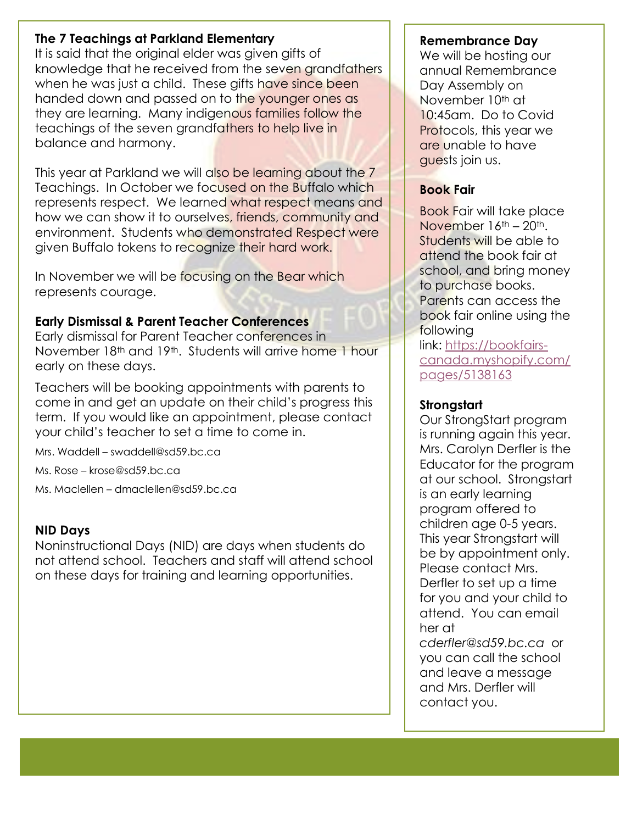#### Ĭ **The 7 Teachings at Parkland Elementary**

It is said that the original elder was given gifts of knowledge that he received from the seven grandfathers when he was just a child. These gifts have since been handed down and passed on to the younger ones as they are learning. Many indigenous families follow the teachings of the seven grandfathers to help live in balance and harmony.

This year at Parkland we will also be learning about the 7 Teachings. In October we focused on the Buffalo which represents respect. We learned what respect means and how we can show it to ourselves, friends, community and environment. Students who demonstrated Respect were aiven Buffalo tokens to recognize their hard work.

In November we will be focusing on the Bear which represents courage.

### **Early Dismissal & Parent Teacher Conferences**

Early dismissal for Parent Teacher conferences in November 18th and 19th. Students will arrive home 1 hour early on these days.

Teachers will be booking appointments with parents to come in and get an update on their child's progress this term. If you would like an appointment, please contact your child's teacher to set a time to come in.

Mrs. Waddell – swaddell@sd59.bc.ca

Ms. Rose – krose@sd59.bc.ca

Ms. Maclellen – dmaclellen@sd59.bc.ca

### **NID Days**

Noninstructional Days (NID) are days when students do not attend school. Teachers and staff will attend school on these days for training and learning opportunities.

### **Remembrance Day**

We will be hosting our annual Remembrance Day Assembly on November 10<sup>th</sup> at 10:45am. Do to Covid Protocols, this year we are unable to have guests join us.

### **Book Fair**

Book Fair will take place November 16th – 20th. Students will be able to attend the book fair at school, and bring money to purchase books. Parents can access the book fair online using the following link: [https://bookfairs](https://bookfairs-canada.myshopify.com/pages/5138163)[canada.myshopify.com/](https://bookfairs-canada.myshopify.com/pages/5138163)

[pages/5138163](https://bookfairs-canada.myshopify.com/pages/5138163)

### **Strongstart**

Our StrongStart program is running again this year. Mrs. Carolyn Derfler is the Educator for the program at our school. Strongstart is an early learning program offered to children age 0-5 years. This year Strongstart will be by appointment only. Please contact Mrs. Derfler to set up a time for you and your child to attend. You can email her at *cderfler@sd59.bc.ca* or

you can call the school and leave a message and Mrs. Derfler will contact you.